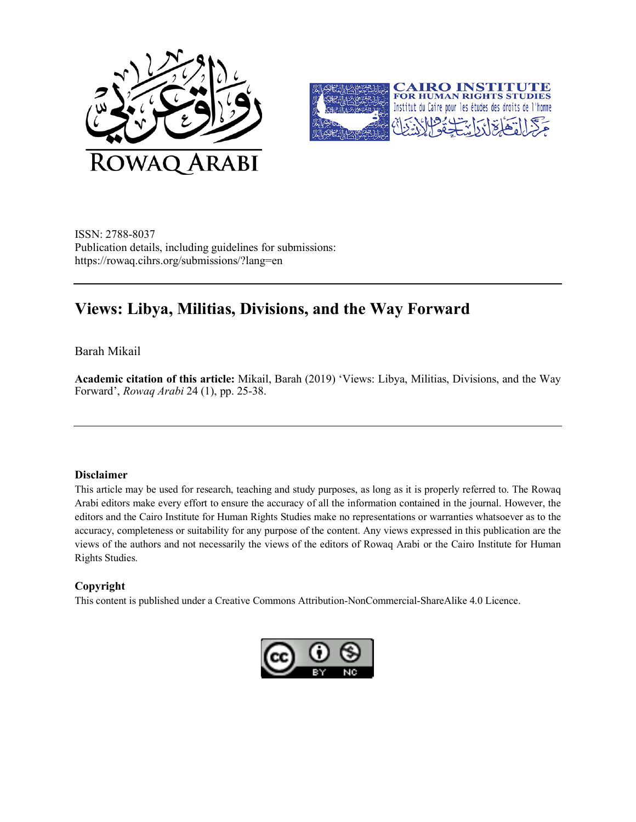



ISSN: 2788-8037 Publication details, including guidelines for submissions: https://rowaq.cihrs.org/submissions/?lang=en

# **Views: Libya, Militias, Divisions, and the Way Forward**

Barah Mikail

**Academic citation of this article:** Mikail, Barah (2019) 'Views: Libya, Militias, Divisions, and the Way Forward', *Rowaq Arabi* 24 (1), pp. 25-38.

#### **Disclaimer**

This article may be used for research, teaching and study purposes, as long as it is properly referred to. The Rowaq Arabi editors make every effort to ensure the accuracy of all the information contained in the journal. However, the editors and the Cairo Institute for Human Rights Studies make no representations or warranties whatsoever as to the accuracy, completeness or suitability for any purpose of the content. Any views expressed in this publication are the views of the authors and not necessarily the views of the editors of Rowaq Arabi or the Cairo Institute for Human Rights Studies.

#### **Copyright**

This content is published under a Creative Commons Attribution-NonCommercial-ShareAlike 4.0 Licence.

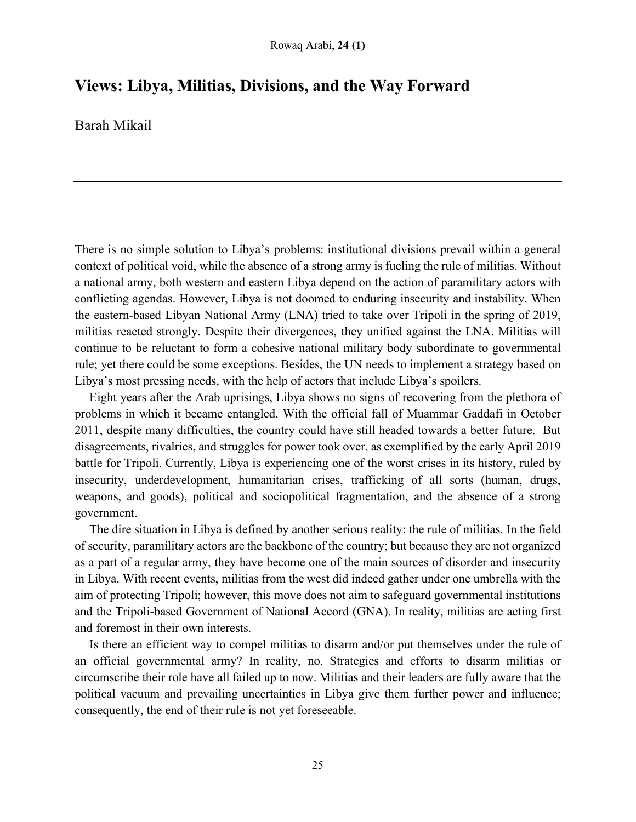## **Views: Libya, Militias, Divisions, and the Way Forward**

Barah Mikail

There is no simple solution to Libya's problems: institutional divisions prevail within a general context of political void, while the absence of a strong army is fueling the rule of militias. Without a national army, both western and eastern Libya depend on the action of paramilitary actors with conflicting agendas. However, Libya is not doomed to enduring insecurity and instability. When the eastern-based Libyan National Army (LNA) tried to take over Tripoli in the spring of 2019, militias reacted strongly. Despite their divergences, they unified against the LNA. Militias will continue to be reluctant to form a cohesive national military body subordinate to governmental rule; yet there could be some exceptions. Besides, the UN needs to implement a strategy based on Libya's most pressing needs, with the help of actors that include Libya's spoilers.

Eight years after the Arab uprisings, Libya shows no signs of recovering from the plethora of problems in which it became entangled. With the official fall of Muammar Gaddafi in October 2011, despite many difficulties, the country could have still headed towards a better future. But disagreements, rivalries, and struggles for power took over, as exemplified by the early April 2019 battle for Tripoli. Currently, Libya is experiencing one of the worst crises in its history, ruled by insecurity, underdevelopment, humanitarian crises, trafficking of all sorts (human, drugs, weapons, and goods), political and sociopolitical fragmentation, and the absence of a strong government.

The dire situation in Libya is defined by another serious reality: the rule of militias. In the field of security, paramilitary actors are the backbone of the country; but because they are not organized as a part of a regular army, they have become one of the main sources of disorder and insecurity in Libya. With recent events, militias from the west did indeed gather under one umbrella with the aim of protecting Tripoli; however, this move does not aim to safeguard governmental institutions and the Tripoli-based Government of National Accord (GNA). In reality, militias are acting first and foremost in their own interests.

Is there an efficient way to compel militias to disarm and/or put themselves under the rule of an official governmental army? In reality, no. Strategies and efforts to disarm militias or circumscribe their role have all failed up to now. Militias and their leaders are fully aware that the political vacuum and prevailing uncertainties in Libya give them further power and influence; consequently, the end of their rule is not yet foreseeable.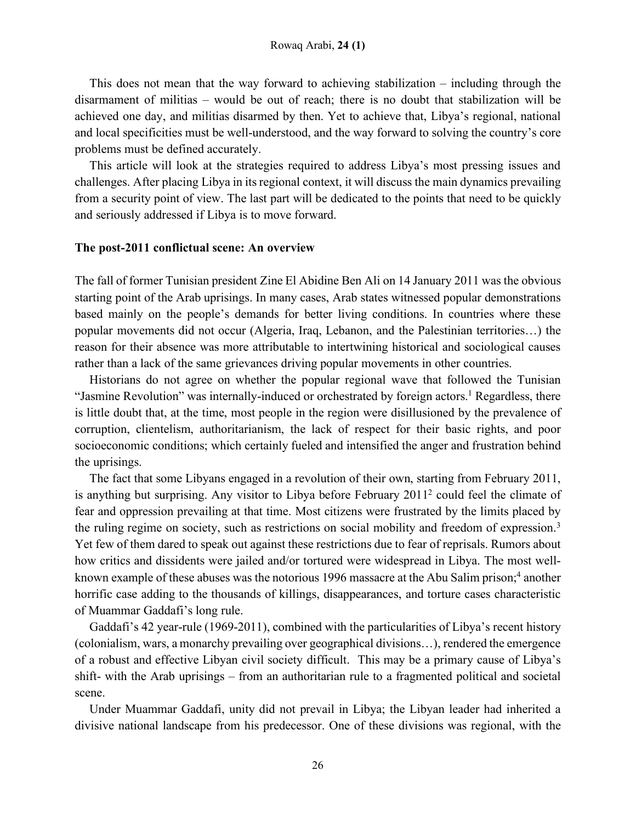This does not mean that the way forward to achieving stabilization – including through the disarmament of militias – would be out of reach; there is no doubt that stabilization will be achieved one day, and militias disarmed by then. Yet to achieve that, Libya's regional, national and local specificities must be well-understood, and the way forward to solving the country's core problems must be defined accurately.

This article will look at the strategies required to address Libya's most pressing issues and challenges. After placing Libya in its regional context, it will discuss the main dynamics prevailing from a security point of view. The last part will be dedicated to the points that need to be quickly and seriously addressed if Libya is to move forward.

#### **The post-2011 conflictual scene: An overview**

The fall of former Tunisian president Zine El Abidine Ben Ali on 14 January 2011 was the obvious starting point of the Arab uprisings. In many cases, Arab states witnessed popular demonstrations based mainly on the people's demands for better living conditions. In countries where these popular movements did not occur (Algeria, Iraq, Lebanon, and the Palestinian territories…) the reason for their absence was more attributable to intertwining historical and sociological causes rather than a lack of the same grievances driving popular movements in other countries.

Historians do not agree on whether the popular regional wave that followed the Tunisian "Jasmine Revolution" was internally-induced or orchestrated by foreign actors.<sup>1</sup> Regardless, there is little doubt that, at the time, most people in the region were disillusioned by the prevalence of corruption, clientelism, authoritarianism, the lack of respect for their basic rights, and poor socioeconomic conditions; which certainly fueled and intensified the anger and frustration behind the uprisings.

The fact that some Libyans engaged in a revolution of their own, starting from February 2011, is anything but surprising. Any visitor to Libya before February 20112 could feel the climate of fear and oppression prevailing at that time. Most citizens were frustrated by the limits placed by the ruling regime on society, such as restrictions on social mobility and freedom of expression.<sup>3</sup> Yet few of them dared to speak out against these restrictions due to fear of reprisals. Rumors about how critics and dissidents were jailed and/or tortured were widespread in Libya. The most wellknown example of these abuses was the notorious 1996 massacre at the Abu Salim prison;<sup>4</sup> another horrific case adding to the thousands of killings, disappearances, and torture cases characteristic of Muammar Gaddafi's long rule.

Gaddafi's 42 year-rule (1969-2011), combined with the particularities of Libya's recent history (colonialism, wars, a monarchy prevailing over geographical divisions…), rendered the emergence of a robust and effective Libyan civil society difficult. This may be a primary cause of Libya's shift- with the Arab uprisings – from an authoritarian rule to a fragmented political and societal scene.

Under Muammar Gaddafi, unity did not prevail in Libya; the Libyan leader had inherited a divisive national landscape from his predecessor. One of these divisions was regional, with the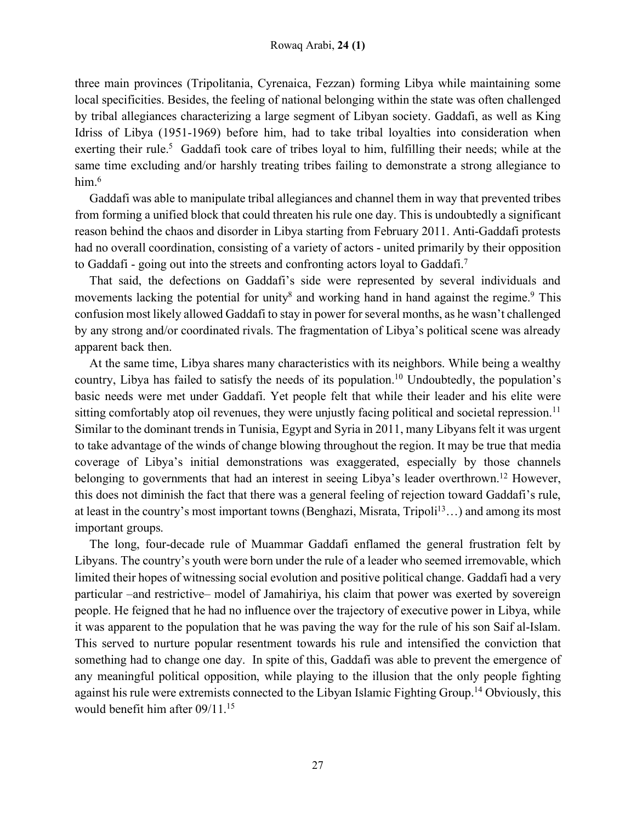three main provinces (Tripolitania, Cyrenaica, Fezzan) forming Libya while maintaining some local specificities. Besides, the feeling of national belonging within the state was often challenged by tribal allegiances characterizing a large segment of Libyan society. Gaddafi, as well as King Idriss of Libya (1951-1969) before him, had to take tribal loyalties into consideration when exerting their rule.<sup>5</sup> Gaddafi took care of tribes loyal to him, fulfilling their needs; while at the same time excluding and/or harshly treating tribes failing to demonstrate a strong allegiance to him.6

Gaddafi was able to manipulate tribal allegiances and channel them in way that prevented tribes from forming a unified block that could threaten his rule one day. This is undoubtedly a significant reason behind the chaos and disorder in Libya starting from February 2011. Anti-Gaddafi protests had no overall coordination, consisting of a variety of actors - united primarily by their opposition to Gaddafi - going out into the streets and confronting actors loyal to Gaddafi.7

That said, the defections on Gaddafi's side were represented by several individuals and movements lacking the potential for unity<sup>8</sup> and working hand in hand against the regime.<sup>9</sup> This confusion most likely allowed Gaddafi to stay in power for several months, as he wasn't challenged by any strong and/or coordinated rivals. The fragmentation of Libya's political scene was already apparent back then.

At the same time, Libya shares many characteristics with its neighbors. While being a wealthy country, Libya has failed to satisfy the needs of its population.10 Undoubtedly, the population's basic needs were met under Gaddafi. Yet people felt that while their leader and his elite were sitting comfortably atop oil revenues, they were unjustly facing political and societal repression.<sup>11</sup> Similar to the dominant trends in Tunisia, Egypt and Syria in 2011, many Libyans felt it was urgent to take advantage of the winds of change blowing throughout the region. It may be true that media coverage of Libya's initial demonstrations was exaggerated, especially by those channels belonging to governments that had an interest in seeing Libya's leader overthrown.<sup>12</sup> However, this does not diminish the fact that there was a general feeling of rejection toward Gaddafi's rule, at least in the country's most important towns (Benghazi, Misrata, Tripoli<sup>13</sup>...) and among its most important groups.

The long, four-decade rule of Muammar Gaddafi enflamed the general frustration felt by Libyans. The country's youth were born under the rule of a leader who seemed irremovable, which limited their hopes of witnessing social evolution and positive political change. Gaddafi had a very particular –and restrictive– model of Jamahiriya, his claim that power was exerted by sovereign people. He feigned that he had no influence over the trajectory of executive power in Libya, while it was apparent to the population that he was paving the way for the rule of his son Saif al-Islam. This served to nurture popular resentment towards his rule and intensified the conviction that something had to change one day. In spite of this, Gaddafi was able to prevent the emergence of any meaningful political opposition, while playing to the illusion that the only people fighting against his rule were extremists connected to the Libyan Islamic Fighting Group.14 Obviously, this would benefit him after 09/11.15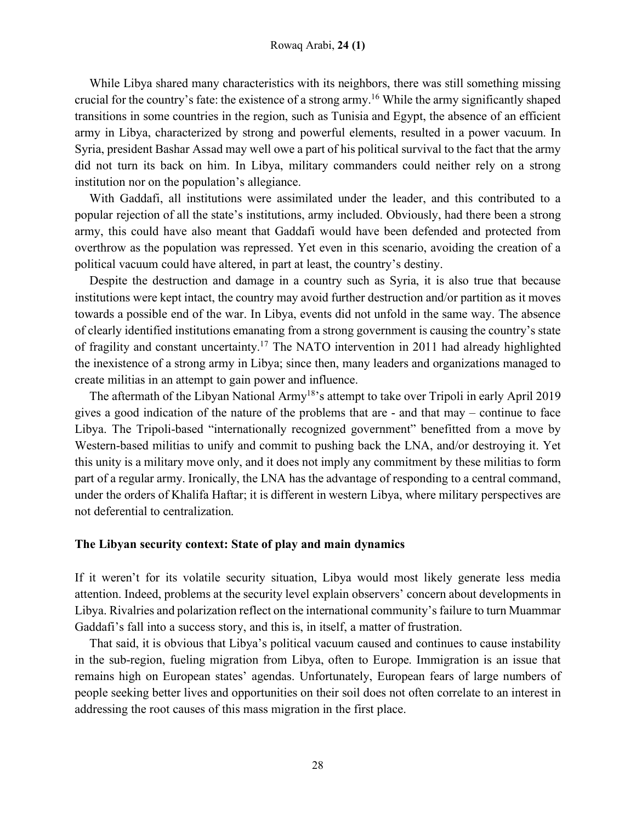#### Rowaq Arabi, **24 (1)**

While Libya shared many characteristics with its neighbors, there was still something missing crucial for the country's fate: the existence of a strong army.16 While the army significantly shaped transitions in some countries in the region, such as Tunisia and Egypt, the absence of an efficient army in Libya, characterized by strong and powerful elements, resulted in a power vacuum. In Syria, president Bashar Assad may well owe a part of his political survival to the fact that the army did not turn its back on him. In Libya, military commanders could neither rely on a strong institution nor on the population's allegiance.

With Gaddafi, all institutions were assimilated under the leader, and this contributed to a popular rejection of all the state's institutions, army included. Obviously, had there been a strong army, this could have also meant that Gaddafi would have been defended and protected from overthrow as the population was repressed. Yet even in this scenario, avoiding the creation of a political vacuum could have altered, in part at least, the country's destiny.

Despite the destruction and damage in a country such as Syria, it is also true that because institutions were kept intact, the country may avoid further destruction and/or partition as it moves towards a possible end of the war. In Libya, events did not unfold in the same way. The absence of clearly identified institutions emanating from a strong government is causing the country's state of fragility and constant uncertainty.17 The NATO intervention in 2011 had already highlighted the inexistence of a strong army in Libya; since then, many leaders and organizations managed to create militias in an attempt to gain power and influence.

The aftermath of the Libyan National Army<sup>18</sup>'s attempt to take over Tripoli in early April 2019 gives a good indication of the nature of the problems that are - and that may – continue to face Libya. The Tripoli-based "internationally recognized government" benefitted from a move by Western-based militias to unify and commit to pushing back the LNA, and/or destroying it. Yet this unity is a military move only, and it does not imply any commitment by these militias to form part of a regular army. Ironically, the LNA has the advantage of responding to a central command, under the orders of Khalifa Haftar; it is different in western Libya, where military perspectives are not deferential to centralization.

#### **The Libyan security context: State of play and main dynamics**

If it weren't for its volatile security situation, Libya would most likely generate less media attention. Indeed, problems at the security level explain observers' concern about developments in Libya. Rivalries and polarization reflect on the international community's failure to turn Muammar Gaddafi's fall into a success story, and this is, in itself, a matter of frustration.

That said, it is obvious that Libya's political vacuum caused and continues to cause instability in the sub-region, fueling migration from Libya, often to Europe. Immigration is an issue that remains high on European states' agendas. Unfortunately, European fears of large numbers of people seeking better lives and opportunities on their soil does not often correlate to an interest in addressing the root causes of this mass migration in the first place.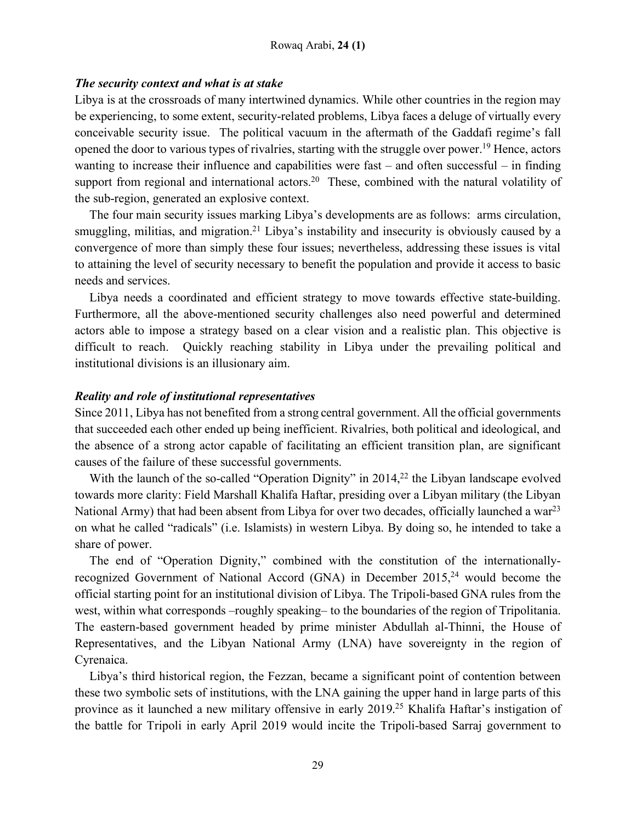## *The security context and what is at stake*

Libya is at the crossroads of many intertwined dynamics. While other countries in the region may be experiencing, to some extent, security-related problems, Libya faces a deluge of virtually every conceivable security issue. The political vacuum in the aftermath of the Gaddafi regime's fall opened the door to various types of rivalries, starting with the struggle over power.19 Hence, actors wanting to increase their influence and capabilities were fast – and often successful – in finding support from regional and international actors.<sup>20</sup> These, combined with the natural volatility of the sub-region, generated an explosive context.

The four main security issues marking Libya's developments are as follows: arms circulation, smuggling, militias, and migration.<sup>21</sup> Libya's instability and insecurity is obviously caused by a convergence of more than simply these four issues; nevertheless, addressing these issues is vital to attaining the level of security necessary to benefit the population and provide it access to basic needs and services.

Libya needs a coordinated and efficient strategy to move towards effective state-building. Furthermore, all the above-mentioned security challenges also need powerful and determined actors able to impose a strategy based on a clear vision and a realistic plan. This objective is difficult to reach. Quickly reaching stability in Libya under the prevailing political and institutional divisions is an illusionary aim.

## *Reality and role of institutional representatives*

Since 2011, Libya has not benefited from a strong central government. All the official governments that succeeded each other ended up being inefficient. Rivalries, both political and ideological, and the absence of a strong actor capable of facilitating an efficient transition plan, are significant causes of the failure of these successful governments.

With the launch of the so-called "Operation Dignity" in 2014,<sup>22</sup> the Libyan landscape evolved towards more clarity: Field Marshall Khalifa Haftar, presiding over a Libyan military (the Libyan National Army) that had been absent from Libya for over two decades, officially launched a war<sup>23</sup> on what he called "radicals" (i.e. Islamists) in western Libya. By doing so, he intended to take a share of power.

The end of "Operation Dignity," combined with the constitution of the internationallyrecognized Government of National Accord (GNA) in December  $2015<sup>24</sup>$  would become the official starting point for an institutional division of Libya. The Tripoli-based GNA rules from the west, within what corresponds –roughly speaking– to the boundaries of the region of Tripolitania. The eastern-based government headed by prime minister Abdullah al-Thinni, the House of Representatives, and the Libyan National Army (LNA) have sovereignty in the region of Cyrenaica.

Libya's third historical region, the Fezzan, became a significant point of contention between these two symbolic sets of institutions, with the LNA gaining the upper hand in large parts of this province as it launched a new military offensive in early 2019.25 Khalifa Haftar's instigation of the battle for Tripoli in early April 2019 would incite the Tripoli-based Sarraj government to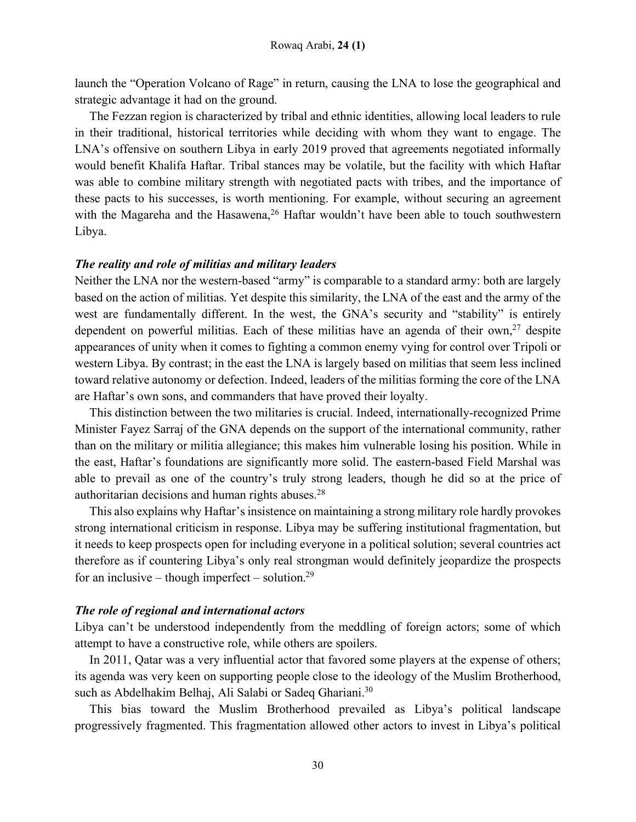launch the "Operation Volcano of Rage" in return, causing the LNA to lose the geographical and strategic advantage it had on the ground.

The Fezzan region is characterized by tribal and ethnic identities, allowing local leaders to rule in their traditional, historical territories while deciding with whom they want to engage. The LNA's offensive on southern Libya in early 2019 proved that agreements negotiated informally would benefit Khalifa Haftar. Tribal stances may be volatile, but the facility with which Haftar was able to combine military strength with negotiated pacts with tribes, and the importance of these pacts to his successes, is worth mentioning. For example, without securing an agreement with the Magareha and the Hasawena,<sup>26</sup> Haftar wouldn't have been able to touch southwestern Libya.

#### *The reality and role of militias and military leaders*

Neither the LNA nor the western-based "army" is comparable to a standard army: both are largely based on the action of militias. Yet despite this similarity, the LNA of the east and the army of the west are fundamentally different. In the west, the GNA's security and "stability" is entirely dependent on powerful militias. Each of these militias have an agenda of their own,<sup>27</sup> despite appearances of unity when it comes to fighting a common enemy vying for control over Tripoli or western Libya. By contrast; in the east the LNA is largely based on militias that seem less inclined toward relative autonomy or defection. Indeed, leaders of the militias forming the core of the LNA are Haftar's own sons, and commanders that have proved their loyalty.

This distinction between the two militaries is crucial. Indeed, internationally-recognized Prime Minister Fayez Sarraj of the GNA depends on the support of the international community, rather than on the military or militia allegiance; this makes him vulnerable losing his position. While in the east, Haftar's foundations are significantly more solid. The eastern-based Field Marshal was able to prevail as one of the country's truly strong leaders, though he did so at the price of authoritarian decisions and human rights abuses.28

This also explains why Haftar's insistence on maintaining a strong military role hardly provokes strong international criticism in response. Libya may be suffering institutional fragmentation, but it needs to keep prospects open for including everyone in a political solution; several countries act therefore as if countering Libya's only real strongman would definitely jeopardize the prospects for an inclusive – though imperfect – solution.<sup>29</sup>

#### *The role of regional and international actors*

Libya can't be understood independently from the meddling of foreign actors; some of which attempt to have a constructive role, while others are spoilers.

In 2011, Qatar was a very influential actor that favored some players at the expense of others; its agenda was very keen on supporting people close to the ideology of the Muslim Brotherhood, such as Abdelhakim Belhaj, Ali Salabi or Sadeq Ghariani.<sup>30</sup>

This bias toward the Muslim Brotherhood prevailed as Libya's political landscape progressively fragmented. This fragmentation allowed other actors to invest in Libya's political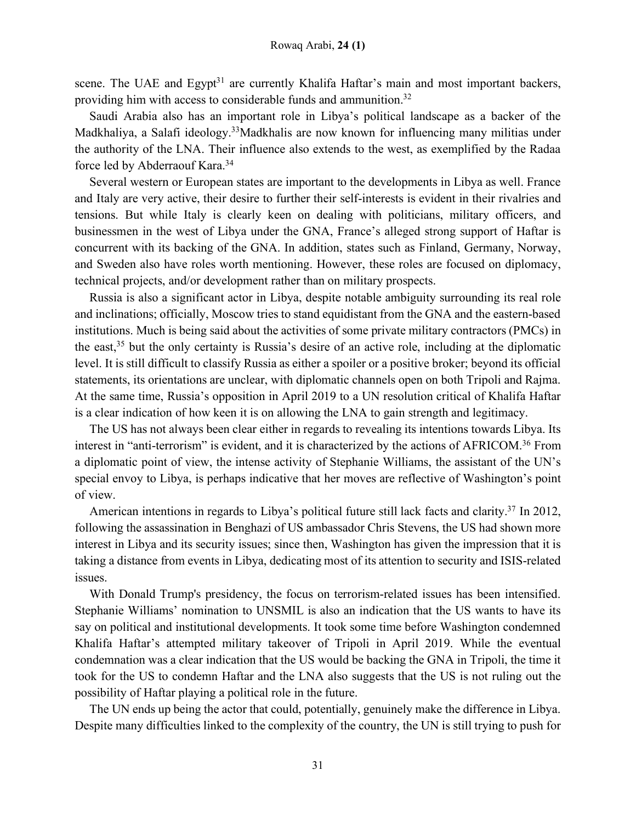scene. The UAE and Egypt<sup>31</sup> are currently Khalifa Haftar's main and most important backers, providing him with access to considerable funds and ammunition.32

Saudi Arabia also has an important role in Libya's political landscape as a backer of the Madkhaliya, a Salafi ideology.33Madkhalis are now known for influencing many militias under the authority of the LNA. Their influence also extends to the west, as exemplified by the Radaa force led by Abderraouf Kara.<sup>34</sup>

Several western or European states are important to the developments in Libya as well. France and Italy are very active, their desire to further their self-interests is evident in their rivalries and tensions. But while Italy is clearly keen on dealing with politicians, military officers, and businessmen in the west of Libya under the GNA, France's alleged strong support of Haftar is concurrent with its backing of the GNA. In addition, states such as Finland, Germany, Norway, and Sweden also have roles worth mentioning. However, these roles are focused on diplomacy, technical projects, and/or development rather than on military prospects.

Russia is also a significant actor in Libya, despite notable ambiguity surrounding its real role and inclinations; officially, Moscow tries to stand equidistant from the GNA and the eastern-based institutions. Much is being said about the activities of some private military contractors (PMCs) in the east,35 but the only certainty is Russia's desire of an active role, including at the diplomatic level. It is still difficult to classify Russia as either a spoiler or a positive broker; beyond its official statements, its orientations are unclear, with diplomatic channels open on both Tripoli and Rajma. At the same time, Russia's opposition in April 2019 to a UN resolution critical of Khalifa Haftar is a clear indication of how keen it is on allowing the LNA to gain strength and legitimacy.

The US has not always been clear either in regards to revealing its intentions towards Libya. Its interest in "anti-terrorism" is evident, and it is characterized by the actions of AFRICOM.<sup>36</sup> From a diplomatic point of view, the intense activity of Stephanie Williams, the assistant of the UN's special envoy to Libya, is perhaps indicative that her moves are reflective of Washington's point of view.

American intentions in regards to Libya's political future still lack facts and clarity.<sup>37</sup> In 2012, following the assassination in Benghazi of US ambassador Chris Stevens, the US had shown more interest in Libya and its security issues; since then, Washington has given the impression that it is taking a distance from events in Libya, dedicating most of its attention to security and ISIS-related issues.

With Donald Trump's presidency, the focus on terrorism-related issues has been intensified. Stephanie Williams' nomination to UNSMIL is also an indication that the US wants to have its say on political and institutional developments. It took some time before Washington condemned Khalifa Haftar's attempted military takeover of Tripoli in April 2019. While the eventual condemnation was a clear indication that the US would be backing the GNA in Tripoli, the time it took for the US to condemn Haftar and the LNA also suggests that the US is not ruling out the possibility of Haftar playing a political role in the future.

The UN ends up being the actor that could, potentially, genuinely make the difference in Libya. Despite many difficulties linked to the complexity of the country, the UN is still trying to push for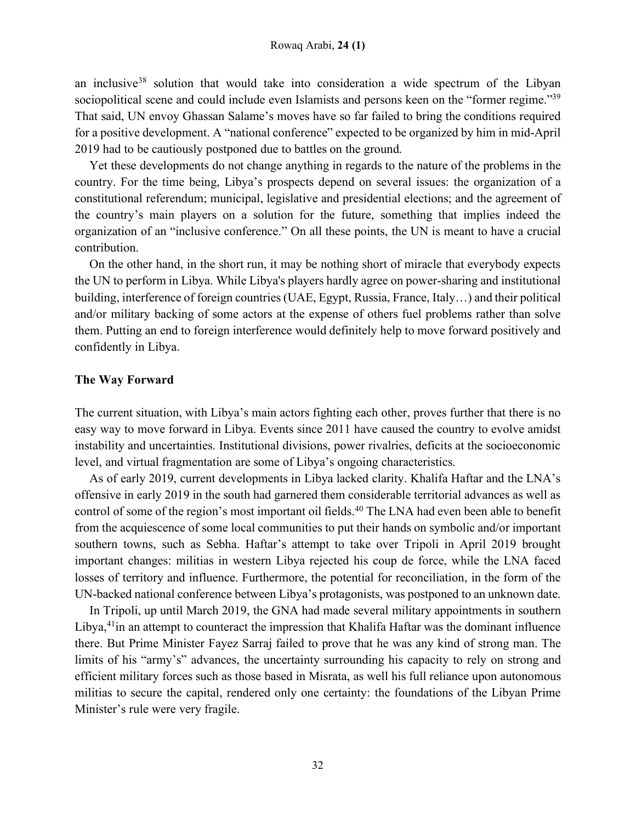an inclusive<sup>38</sup> solution that would take into consideration a wide spectrum of the Libyan sociopolitical scene and could include even Islamists and persons keen on the "former regime."<sup>39</sup> That said, UN envoy Ghassan Salame's moves have so far failed to bring the conditions required for a positive development. A "national conference" expected to be organized by him in mid-April 2019 had to be cautiously postponed due to battles on the ground.

Yet these developments do not change anything in regards to the nature of the problems in the country. For the time being, Libya's prospects depend on several issues: the organization of a constitutional referendum; municipal, legislative and presidential elections; and the agreement of the country's main players on a solution for the future, something that implies indeed the organization of an "inclusive conference." On all these points, the UN is meant to have a crucial contribution.

On the other hand, in the short run, it may be nothing short of miracle that everybody expects the UN to perform in Libya. While Libya's players hardly agree on power-sharing and institutional building, interference of foreign countries (UAE, Egypt, Russia, France, Italy…) and their political and/or military backing of some actors at the expense of others fuel problems rather than solve them. Putting an end to foreign interference would definitely help to move forward positively and confidently in Libya.

#### **The Way Forward**

The current situation, with Libya's main actors fighting each other, proves further that there is no easy way to move forward in Libya. Events since 2011 have caused the country to evolve amidst instability and uncertainties. Institutional divisions, power rivalries, deficits at the socioeconomic level, and virtual fragmentation are some of Libya's ongoing characteristics.

As of early 2019, current developments in Libya lacked clarity. Khalifa Haftar and the LNA's offensive in early 2019 in the south had garnered them considerable territorial advances as well as control of some of the region's most important oil fields.<sup>40</sup> The LNA had even been able to benefit from the acquiescence of some local communities to put their hands on symbolic and/or important southern towns, such as Sebha. Haftar's attempt to take over Tripoli in April 2019 brought important changes: militias in western Libya rejected his coup de force, while the LNA faced losses of territory and influence. Furthermore, the potential for reconciliation, in the form of the UN-backed national conference between Libya's protagonists, was postponed to an unknown date.

In Tripoli, up until March 2019, the GNA had made several military appointments in southern Libya,<sup>41</sup>in an attempt to counteract the impression that Khalifa Haftar was the dominant influence there. But Prime Minister Fayez Sarraj failed to prove that he was any kind of strong man. The limits of his "army's" advances, the uncertainty surrounding his capacity to rely on strong and efficient military forces such as those based in Misrata, as well his full reliance upon autonomous militias to secure the capital, rendered only one certainty: the foundations of the Libyan Prime Minister's rule were very fragile.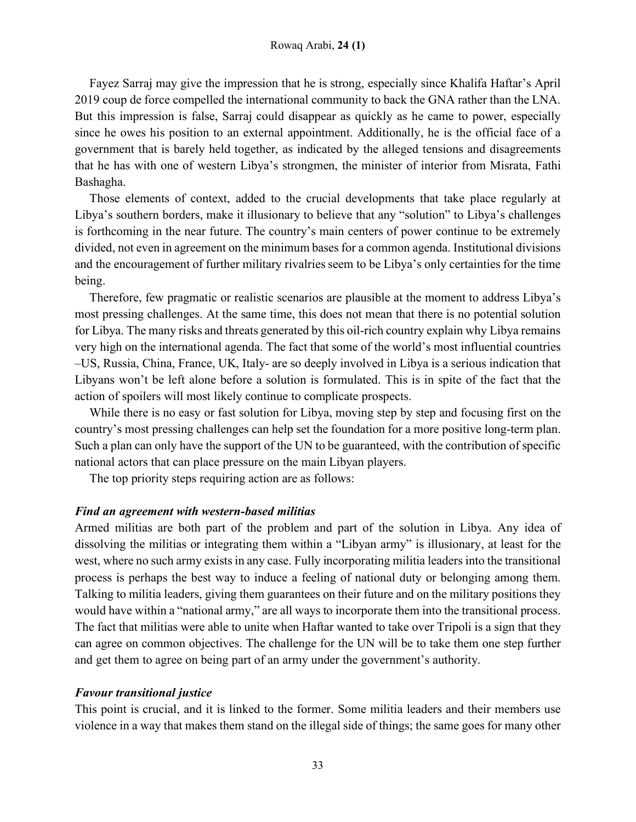Fayez Sarraj may give the impression that he is strong, especially since Khalifa Haftar's April 2019 coup de force compelled the international community to back the GNA rather than the LNA. But this impression is false, Sarraj could disappear as quickly as he came to power, especially since he owes his position to an external appointment. Additionally, he is the official face of a government that is barely held together, as indicated by the alleged tensions and disagreements that he has with one of western Libya's strongmen, the minister of interior from Misrata, Fathi Bashagha.

Those elements of context, added to the crucial developments that take place regularly at Libya's southern borders, make it illusionary to believe that any "solution" to Libya's challenges is forthcoming in the near future. The country's main centers of power continue to be extremely divided, not even in agreement on the minimum bases for a common agenda. Institutional divisions and the encouragement of further military rivalries seem to be Libya's only certainties for the time being.

Therefore, few pragmatic or realistic scenarios are plausible at the moment to address Libya's most pressing challenges. At the same time, this does not mean that there is no potential solution for Libya. The many risks and threats generated by this oil-rich country explain why Libya remains very high on the international agenda. The fact that some of the world's most influential countries –US, Russia, China, France, UK, Italy- are so deeply involved in Libya is a serious indication that Libyans won't be left alone before a solution is formulated. This is in spite of the fact that the action of spoilers will most likely continue to complicate prospects.

While there is no easy or fast solution for Libya, moving step by step and focusing first on the country's most pressing challenges can help set the foundation for a more positive long-term plan. Such a plan can only have the support of the UN to be guaranteed, with the contribution of specific national actors that can place pressure on the main Libyan players.

The top priority steps requiring action are as follows:

#### *Find an agreement with western-based militias*

Armed militias are both part of the problem and part of the solution in Libya. Any idea of dissolving the militias or integrating them within a "Libyan army" is illusionary, at least for the west, where no such army exists in any case. Fully incorporating militia leaders into the transitional process is perhaps the best way to induce a feeling of national duty or belonging among them. Talking to militia leaders, giving them guarantees on their future and on the military positions they would have within a "national army," are all ways to incorporate them into the transitional process. The fact that militias were able to unite when Haftar wanted to take over Tripoli is a sign that they can agree on common objectives. The challenge for the UN will be to take them one step further and get them to agree on being part of an army under the government's authority.

## *Favour transitional justice*

This point is crucial, and it is linked to the former. Some militia leaders and their members use violence in a way that makes them stand on the illegal side of things; the same goes for many other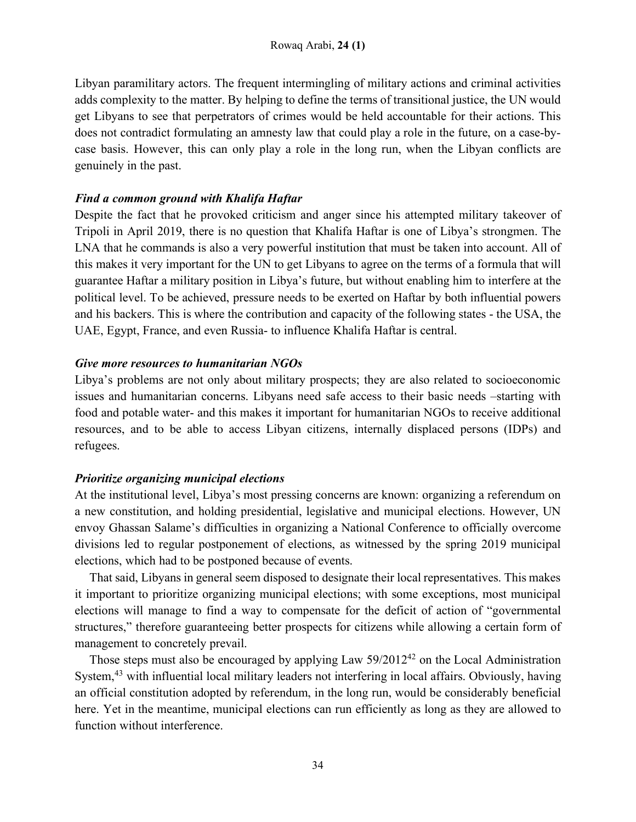Libyan paramilitary actors. The frequent intermingling of military actions and criminal activities adds complexity to the matter. By helping to define the terms of transitional justice, the UN would get Libyans to see that perpetrators of crimes would be held accountable for their actions. This does not contradict formulating an amnesty law that could play a role in the future, on a case-bycase basis. However, this can only play a role in the long run, when the Libyan conflicts are genuinely in the past.

## *Find a common ground with Khalifa Haftar*

Despite the fact that he provoked criticism and anger since his attempted military takeover of Tripoli in April 2019, there is no question that Khalifa Haftar is one of Libya's strongmen. The LNA that he commands is also a very powerful institution that must be taken into account. All of this makes it very important for the UN to get Libyans to agree on the terms of a formula that will guarantee Haftar a military position in Libya's future, but without enabling him to interfere at the political level. To be achieved, pressure needs to be exerted on Haftar by both influential powers and his backers. This is where the contribution and capacity of the following states - the USA, the UAE, Egypt, France, and even Russia- to influence Khalifa Haftar is central.

## *Give more resources to humanitarian NGOs*

Libya's problems are not only about military prospects; they are also related to socioeconomic issues and humanitarian concerns. Libyans need safe access to their basic needs –starting with food and potable water- and this makes it important for humanitarian NGOs to receive additional resources, and to be able to access Libyan citizens, internally displaced persons (IDPs) and refugees.

## *Prioritize organizing municipal elections*

At the institutional level, Libya's most pressing concerns are known: organizing a referendum on a new constitution, and holding presidential, legislative and municipal elections. However, UN envoy Ghassan Salame's difficulties in organizing a National Conference to officially overcome divisions led to regular postponement of elections, as witnessed by the spring 2019 municipal elections, which had to be postponed because of events.

That said, Libyans in general seem disposed to designate their local representatives. This makes it important to prioritize organizing municipal elections; with some exceptions, most municipal elections will manage to find a way to compensate for the deficit of action of "governmental structures," therefore guaranteeing better prospects for citizens while allowing a certain form of management to concretely prevail.

Those steps must also be encouraged by applying Law 59/2012<sup>42</sup> on the Local Administration System,<sup>43</sup> with influential local military leaders not interfering in local affairs. Obviously, having an official constitution adopted by referendum, in the long run, would be considerably beneficial here. Yet in the meantime, municipal elections can run efficiently as long as they are allowed to function without interference.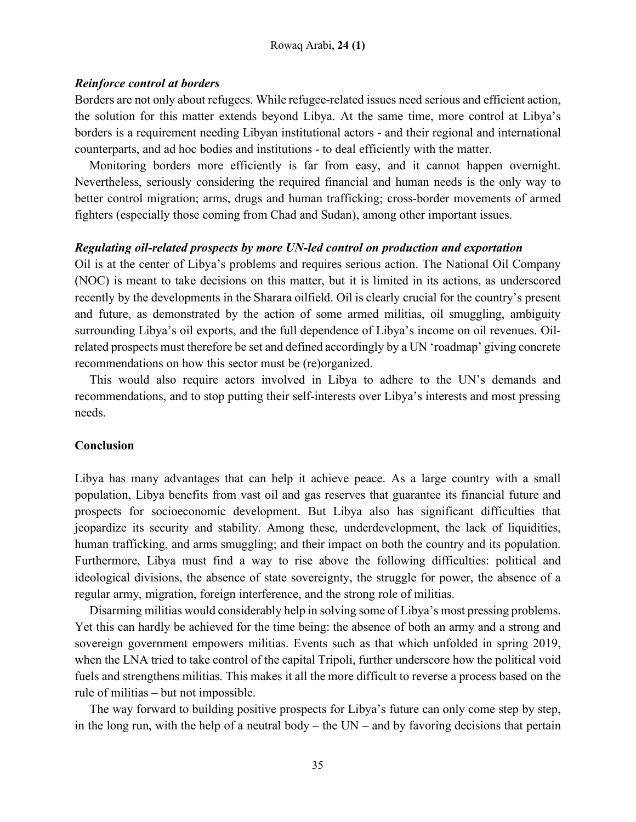### *Reinforce control at borders*

Borders are not only about refugees. While refugee-related issues need serious and efficient action, the solution for this matter extends beyond Libya. At the same time, more control at Libya's borders is a requirement needing Libyan institutional actors - and their regional and international counterparts, and ad hoc bodies and institutions - to deal efficiently with the matter.

Monitoring borders more efficiently is far from easy, and it cannot happen overnight. Nevertheless, seriously considering the required financial and human needs is the only way to better control migration; arms, drugs and human trafficking; cross-border movements of armed fighters (especially those coming from Chad and Sudan), among other important issues.

## *Regulating oil-related prospects by more UN-led control on production and exportation*

Oil is at the center of Libya's problems and requires serious action. The National Oil Company (NOC) is meant to take decisions on this matter, but it is limited in its actions, as underscored recently by the developments in the Sharara oilfield. Oil is clearly crucial for the country's present and future, as demonstrated by the action of some armed militias, oil smuggling, ambiguity surrounding Libya's oil exports, and the full dependence of Libya's income on oil revenues. Oilrelated prospects must therefore be set and defined accordingly by a UN 'roadmap' giving concrete recommendations on how this sector must be (re)organized.

This would also require actors involved in Libya to adhere to the UN's demands and recommendations, and to stop putting their self-interests over Libya's interests and most pressing needs.

## **Conclusion**

Libya has many advantages that can help it achieve peace. As a large country with a small population, Libya benefits from vast oil and gas reserves that guarantee its financial future and prospects for socioeconomic development. But Libya also has significant difficulties that jeopardize its security and stability. Among these, underdevelopment, the lack of liquidities, human trafficking, and arms smuggling; and their impact on both the country and its population. Furthermore, Libya must find a way to rise above the following difficulties: political and ideological divisions, the absence of state sovereignty, the struggle for power, the absence of a regular army, migration, foreign interference, and the strong role of militias.

Disarming militias would considerably help in solving some of Libya's most pressing problems. Yet this can hardly be achieved for the time being: the absence of both an army and a strong and sovereign government empowers militias. Events such as that which unfolded in spring 2019, when the LNA tried to take control of the capital Tripoli, further underscore how the political void fuels and strengthens militias. This makes it all the more difficult to reverse a process based on the rule of militias – but not impossible.

The way forward to building positive prospects for Libya's future can only come step by step, in the long run, with the help of a neutral body – the  $UN$  – and by favoring decisions that pertain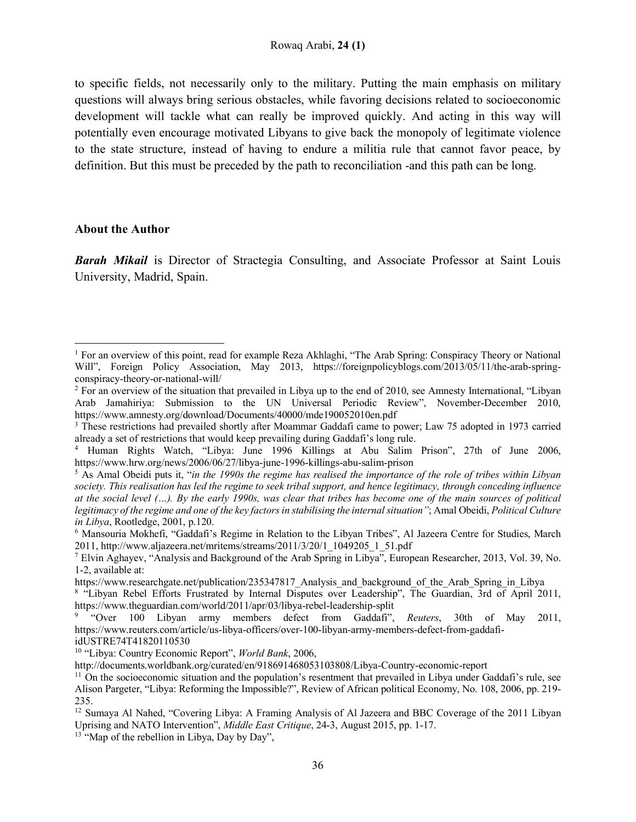to specific fields, not necessarily only to the military. Putting the main emphasis on military questions will always bring serious obstacles, while favoring decisions related to socioeconomic development will tackle what can really be improved quickly. And acting in this way will potentially even encourage motivated Libyans to give back the monopoly of legitimate violence to the state structure, instead of having to endure a militia rule that cannot favor peace, by definition. But this must be preceded by the path to reconciliation -and this path can be long.

#### **About the Author**

l

*Barah Mikail* is Director of Stractegia Consulting, and Associate Professor at Saint Louis University, Madrid, Spain.

<sup>1</sup> For an overview of this point, read for example Reza Akhlaghi, "The Arab Spring: Conspiracy Theory or National Will", Foreign Policy Association, May 2013, https://foreignpolicyblogs.com/2013/05/11/the-arab-springconspiracy-theory-or-national-will/

<sup>&</sup>lt;sup>2</sup> For an overview of the situation that prevailed in Libya up to the end of 2010, see Amnesty International, "Libyan" Arab Jamahiriya: Submission to the UN Universal Periodic Review", November-December 2010, https://www.amnesty.org/download/Documents/40000/mde190052010en.pdf

<sup>&</sup>lt;sup>3</sup> These restrictions had prevailed shortly after Moammar Gaddafi came to power; Law 75 adopted in 1973 carried already a set of restrictions that would keep prevailing during Gaddafi's long rule.

<sup>4</sup> Human Rights Watch, "Libya: June 1996 Killings at Abu Salim Prison", 27th of June 2006, https://www.hrw.org/news/2006/06/27/libya-june-1996-killings-abu-salim-prison

<sup>5</sup> As Amal Obeidi puts it, "*in the 1990s the regime has realised the importance of the role of tribes within Libyan society. This realisation has led the regime to seek tribal support, and hence legitimacy, through conceding influence at the social level (…). By the early 1990s, was clear that tribes has become one of the main sources of political legitimacy of the regime and one of the key factors in stabilising the internal situation"*; Amal Obeidi, *Political Culture in Libya*, Rootledge, 2001, p.120.

<sup>6</sup> Mansouria Mokhefi, "Gaddafi's Regime in Relation to the Libyan Tribes", Al Jazeera Centre for Studies, March 2011, http://www.aljazeera.net/mritems/streams/2011/3/20/1\_1049205\_1\_51.pdf

<sup>7</sup> Elvin Aghayev, "Analysis and Background of the Arab Spring in Libya", European Researcher, 2013, Vol. 39, No. 1-2, available at:

https://www.researchgate.net/publication/235347817 Analysis and background of the Arab Spring in Libya

<sup>&</sup>lt;sup>8</sup> "Libyan Rebel Efforts Frustrated by Internal Disputes over Leadership", The Guardian, 3rd of April 2011, https://www.theguardian.com/world/2011/apr/03/libya-rebel-leadership-split

<sup>9</sup> "Over 100 Libyan army members defect from Gaddafi", *Reuters*, 30th of May 2011, https://www.reuters.com/article/us-libya-officers/over-100-libyan-army-members-defect-from-gaddafiidUSTRE74T41820110530

<sup>10</sup> "Libya: Country Economic Report", *World Bank*, 2006,

http://documents.worldbank.org/curated/en/918691468053103808/Libya-Country-economic-report

 $11$  On the socioeconomic situation and the population's resentment that prevailed in Libya under Gaddafi's rule, see Alison Pargeter, "Libya: Reforming the Impossible?", Review of African political Economy, No. 108, 2006, pp. 219- 235.

<sup>&</sup>lt;sup>12</sup> Sumaya Al Nahed, "Covering Libya: A Framing Analysis of Al Jazeera and BBC Coverage of the 2011 Libyan Uprising and NATO Intervention", *Middle East Critique*, 24-3, August 2015, pp. 1-17.

 $13$  "Map of the rebellion in Libya, Day by Day",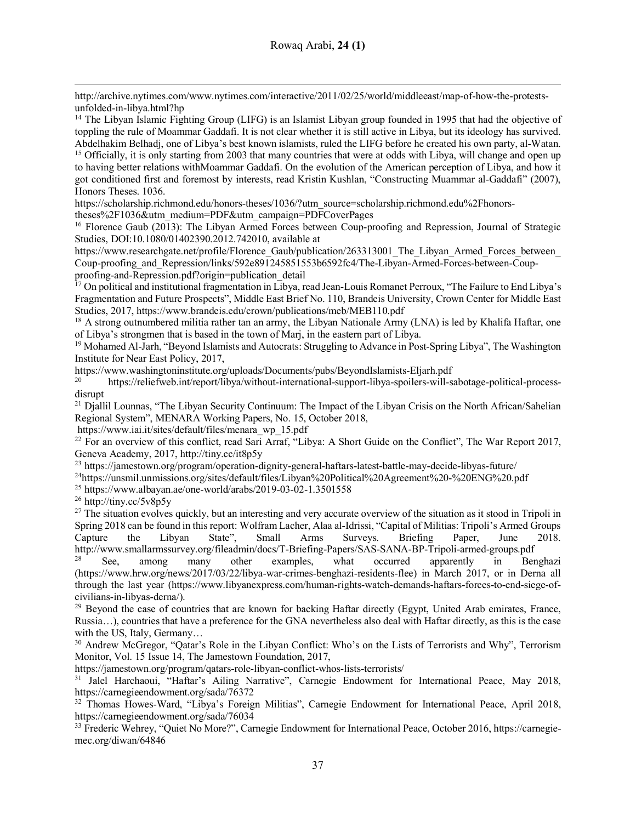http://archive.nytimes.com/www.nytimes.com/interactive/2011/02/25/world/middleeast/map-of-how-the-protestsunfolded-in-libya.html?hp

<sup>14</sup> The Libyan Islamic Fighting Group (LIFG) is an Islamist Libyan group founded in 1995 that had the objective of toppling the rule of Moammar Gaddafi. It is not clear whether it is still active in Libya, but its ideology has survived.<br>Abdelhakim Belhadj, one of Libya's best known islamists, ruled the LIFG before he created his own pa

<sup>15</sup> Officially, it is only starting from 2003 that many countries that were at odds with Libya, will change and open up to having better relations withMoammar Gaddafi. On the evolution of the American perception of Libya, and how it got conditioned first and foremost by interests, read Kristin Kushlan, "Constructing Muammar al-Gaddafi" (2007), Honors Theses. 1036.

https://scholarship.richmond.edu/honors-theses/1036/?utm\_source=scholarship.richmond.edu%2Fhonors-

theses%2F1036&utm\_medium=PDF&utm\_campaign=PDFCoverPages

<sup>16</sup> Florence Gaub (2013): The Libyan Armed Forces between Coup-proofing and Repression, Journal of Strategic Studies, DOI:10.1080/01402390.2012.742010, available at

https://www.researchgate.net/profile/Florence\_Gaub/publication/263313001\_The\_Libyan\_Armed\_Forces\_between Coup-proofing\_and\_Repression/links/592e891245851553b6592fc4/The-Libyan-Armed-Forces-between-Coupproofing-and-Repression.pdf?origin=publication\_detail

<sup>17</sup> On political and institutional fragmentation in Libya, read Jean-Louis Romanet Perroux, "The Failure to End Libya's Fragmentation and Future Prospects", Middle East Brief No. 110, Brandeis University, Crown Center for Middle East Studies, 2017, https://www.brandeis.edu/crown/publications/meb/MEB110.pdf

<sup>18</sup> A strong outnumbered militia rather tan an army, the Libyan Nationale Army (LNA) is led by Khalifa Haftar, one of Libya's strongmen that is based in the town of Marj, in the eastern part of Libya.

<sup>19</sup> Mohamed Al-Jarh, "Beyond Islamists and Autocrats: Struggling to Advance in Post-Spring Libya", The Washington Institute for Near East Policy, 2017,

https://www.washingtoninstitute.org/uploads/Documents/pubs/BeyondIslamists-Eljarh.pdf

<sup>20</sup> https://reliefweb.int/report/libya/without-international-support-libya-spoilers-will-sabotage-political-processdisrupt

<sup>21</sup> Djallil Lounnas, "The Libyan Security Continuum: The Impact of the Libyan Crisis on the North African/Sahelian Regional System", MENARA Working Papers, No. 15, October 2018,

https://www.iai.it/sites/default/files/menara\_wp\_15.pdf

<sup>22</sup> For an overview of this conflict, read Sari Arraf, "Libya: A Short Guide on the Conflict", The War Report 2017, Geneva Academy, 2017, http://tiny.cc/it8p5y

<sup>23</sup> https://jamestown.org/program/operation-dignity-general-haftars-latest-battle-may-decide-libyas-future/

24https://unsmil.unmissions.org/sites/default/files/Libyan%20Political%20Agreement%20-%20ENG%20.pdf

<sup>25</sup> https://www.albayan.ae/one-world/arabs/2019-03-02-1.3501558

<sup>26</sup> http://tiny.cc/5v8p5y

l

<sup>27</sup> The situation evolves quickly, but an interesting and very accurate overview of the situation as it stood in Tripoli in Spring 2018 can be found in this report: Wolfram Lacher, Alaa al-Idrissi, "Capital of Militias: Tripoli's Armed Groups Capture the Libyan State", Small Arms Surveys. Briefing Paper, June 2018. http://www.smallarmssurvey.org/fileadmin/docs/T-Briefing-Papers/SAS-SANA-BP-Tripoli-armed-groups.pdf

 $28$  See, among many other examples, what occurred apparently in Benghazi (https://www.hrw.org/news/2017/03/22/libya-war-crimes-benghazi-residents-flee) in March 2017, or in Derna all through the last year (https://www.libyanexpress.com/human-rights-watch-demands-haftars-forces-to-end-siege-ofcivilians-in-libyas-derna/).

 $29$  Beyond the case of countries that are known for backing Haftar directly (Egypt, United Arab emirates, France, Russia…), countries that have a preference for the GNA nevertheless also deal with Haftar directly, as this is the case with the US, Italy, Germany…

<sup>30</sup> Andrew McGregor, "Qatar's Role in the Libyan Conflict: Who's on the Lists of Terrorists and Why", Terrorism Monitor, Vol. 15 Issue 14, The Jamestown Foundation, 2017,

https://jamestown.org/program/qatars-role-libyan-conflict-whos-lists-terrorists/

<sup>31</sup> Jalel Harchaoui, "Haftar's Ailing Narrative", Carnegie Endowment for International Peace, May 2018, https://carnegieendowment.org/sada/76372

<sup>32</sup> Thomas Howes-Ward, "Libya's Foreign Militias", Carnegie Endowment for International Peace, April 2018, https://carnegieendowment.org/sada/76034

<sup>33</sup> Frederic Wehrey, "Quiet No More?", Carnegie Endowment for International Peace, October 2016, https://carnegiemec.org/diwan/64846